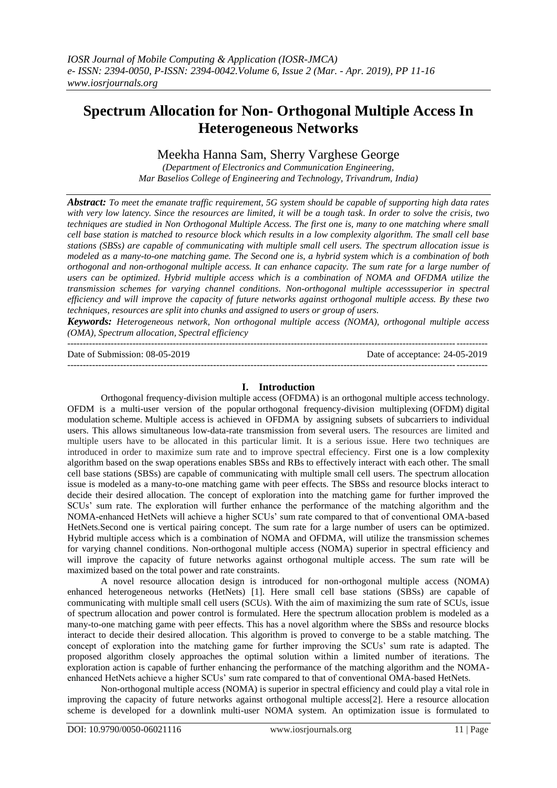# **Spectrum Allocation for Non- Orthogonal Multiple Access In Heterogeneous Networks**

Meekha Hanna Sam, Sherry Varghese George

*(Department of Electronics and Communication Engineering, Mar Baselios College of Engineering and Technology, Trivandrum, India)*

*Abstract: To meet the emanate traffic requirement, 5G system should be capable of supporting high data rates with very low latency. Since the resources are limited, it will be a tough task. In order to solve the crisis, two techniques are studied in Non Orthogonal Multiple Access. The first one is, many to one matching where small cell base station is matched to resource block which results in a low complexity algorithm. The small cell base stations (SBSs) are capable of communicating with multiple small cell users. The spectrum allocation issue is modeled as a many-to-one matching game. The Second one is, a hybrid system which is a combination of both orthogonal and non-orthogonal multiple access. It can enhance capacity. The sum rate for a large number of users can be optimized. Hybrid multiple access which is a combination of NOMA and OFDMA utilize the transmission schemes for varying channel conditions. Non-orthogonal multiple accesssuperior in spectral efficiency and will improve the capacity of future networks against orthogonal multiple access. By these two techniques, resources are split into chunks and assigned to users or group of users.*

*Keywords: Heterogeneous network, Non orthogonal multiple access (NOMA), orthogonal multiple access (OMA), Spectrum allocation, Spectral efficiency* ---------------------------------------------------------------------------------------------------------------------------------------

Date of Submission: 08-05-2019  $-1-\frac{1}{2}$ 

| Date of acceptance: 24-05-2019 |  |
|--------------------------------|--|
|--------------------------------|--|

# **I. Introduction**

Orthogonal frequency-division multiple access (OFDMA) is an orthogonal multiple access technology. OFDM is a multi-user version of the popular [orthogonal frequency-division multiplexing](https://en.wikipedia.org/wiki/Orthogonal_frequency-division_multiplexing) (OFDM) [digital](https://en.wikipedia.org/wiki/Modulation#Digital_modulation_methods)  [modulation](https://en.wikipedia.org/wiki/Modulation#Digital_modulation_methods) scheme. [Multiple access](https://en.wikipedia.org/wiki/Multiple_access) is achieved in OFDMA by assigning subsets of [subcarriers](https://en.wikipedia.org/wiki/Carrier_wave) to individual users. This allows simultaneous low-data-rate transmission from several users. The resources are limited and multiple users have to be allocated in this particular limit. It is a serious issue. Here two techniques are introduced in order to maximize sum rate and to improve spectral effeciency. First one is a low complexity algorithm based on the swap operations enables SBSs and RBs to effectively interact with each other. The small cell base stations (SBSs) are capable of communicating with multiple small cell users. The spectrum allocation issue is modeled as a many-to-one matching game with peer effects. The SBSs and resource blocks interact to decide their desired allocation. The concept of exploration into the matching game for further improved the SCUs' sum rate. The exploration will further enhance the performance of the matching algorithm and the NOMA-enhanced HetNets will achieve a higher SCUs' sum rate compared to that of conventional OMA-based HetNets.Second one is vertical pairing concept. The sum rate for a large number of users can be optimized. Hybrid multiple access which is a combination of NOMA and OFDMA, will utilize the transmission schemes for varying channel conditions. Non-orthogonal multiple access (NOMA) superior in spectral efficiency and will improve the capacity of future networks against orthogonal multiple access. The sum rate will be maximized based on the total power and rate constraints.

A novel resource allocation design is introduced for non-orthogonal multiple access (NOMA) enhanced heterogeneous networks (HetNets) [1]. Here small cell base stations (SBSs) are capable of communicating with multiple small cell users (SCUs). With the aim of maximizing the sum rate of SCUs, issue of spectrum allocation and power control is formulated. Here the spectrum allocation problem is modeled as a many-to-one matching game with peer effects. This has a novel algorithm where the SBSs and resource blocks interact to decide their desired allocation. This algorithm is proved to converge to be a stable matching. The concept of exploration into the matching game for further improving the SCUs' sum rate is adapted. The proposed algorithm closely approaches the optimal solution within a limited number of iterations. The exploration action is capable of further enhancing the performance of the matching algorithm and the NOMAenhanced HetNets achieve a higher SCUs' sum rate compared to that of conventional OMA-based HetNets.

Non-orthogonal multiple access (NOMA) is superior in spectral efficiency and could play a vital role in improving the capacity of future networks against orthogonal multiple access[2]. Here a resource allocation scheme is developed for a downlink multi-user NOMA system. An optimization issue is formulated to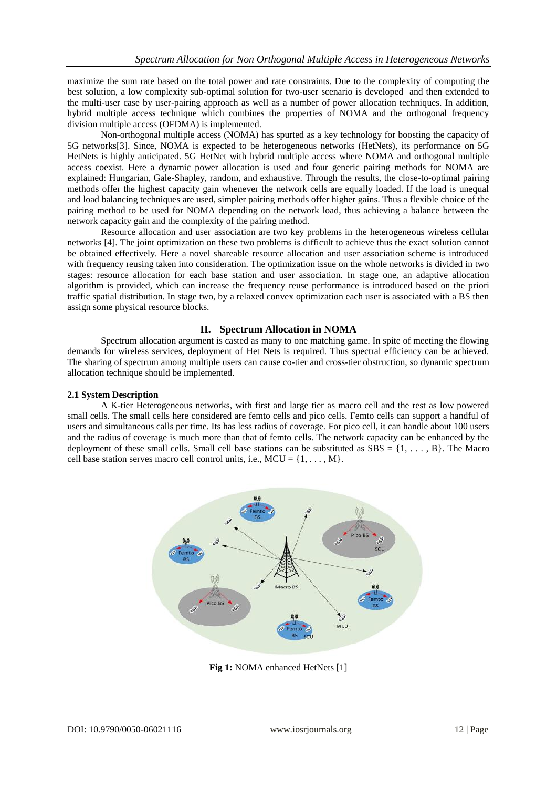maximize the sum rate based on the total power and rate constraints. Due to the complexity of computing the best solution, a low complexity sub-optimal solution for two-user scenario is developed and then extended to the multi-user case by user-pairing approach as well as a number of power allocation techniques. In addition, hybrid multiple access technique which combines the properties of NOMA and the orthogonal frequency division multiple access (OFDMA) is implemented.

Non-orthogonal multiple access (NOMA) has spurted as a key technology for boosting the capacity of 5G networks[3]. Since, NOMA is expected to be heterogeneous networks (HetNets), its performance on 5G HetNets is highly anticipated. 5G HetNet with hybrid multiple access where NOMA and orthogonal multiple access coexist. Here a dynamic power allocation is used and four generic pairing methods for NOMA are explained: Hungarian, Gale-Shapley, random, and exhaustive. Through the results, the close-to-optimal pairing methods offer the highest capacity gain whenever the network cells are equally loaded. If the load is unequal and load balancing techniques are used, simpler pairing methods offer higher gains. Thus a flexible choice of the pairing method to be used for NOMA depending on the network load, thus achieving a balance between the network capacity gain and the complexity of the pairing method.

Resource allocation and user association are two key problems in the heterogeneous wireless cellular networks [4]. The joint optimization on these two problems is difficult to achieve thus the exact solution cannot be obtained effectively. Here a novel shareable resource allocation and user association scheme is introduced with frequency reusing taken into consideration. The optimization issue on the whole networks is divided in two stages: resource allocation for each base station and user association. In stage one, an adaptive allocation algorithm is provided, which can increase the frequency reuse performance is introduced based on the priori traffic spatial distribution. In stage two, by a relaxed convex optimization each user is associated with a BS then assign some physical resource blocks.

# **II. Spectrum Allocation in NOMA**

Spectrum allocation argument is casted as many to one matching game. In spite of meeting the flowing demands for wireless services, deployment of Het Nets is required. Thus spectral efficiency can be achieved. The sharing of spectrum among multiple users can cause co-tier and cross-tier obstruction, so dynamic spectrum allocation technique should be implemented.

# **2.1 System Description**

A K-tier Heterogeneous networks, with first and large tier as macro cell and the rest as low powered small cells. The small cells here considered are femto cells and pico cells. Femto cells can support a handful of users and simultaneous calls per time. Its has less radius of coverage. For pico cell, it can handle about 100 users and the radius of coverage is much more than that of femto cells. The network capacity can be enhanced by the deployment of these small cells. Small cell base stations can be substituted as  $SBS = \{1, \ldots, B\}$ . The Macro cell base station serves macro cell control units, i.e.,  $MCU = \{1, \ldots, M\}.$ 



**Fig 1:** NOMA enhanced HetNets [1]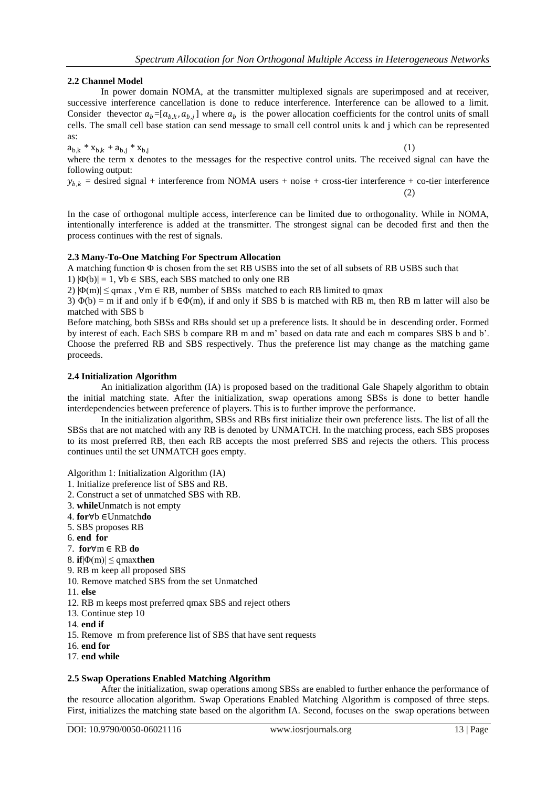# **2.2 Channel Model**

In power domain NOMA, at the transmitter multiplexed signals are superimposed and at receiver, successive interference cancellation is done to reduce interference. Interference can be allowed to a limit. Consider the vector  $a_b = [a_{b,k}, a_{b,j}]$  where  $a_b$  is the power allocation coefficients for the control units of small cells. The small cell base station can send message to small cell control units k and j which can be represented as:

 $a_{b,k} * x_{b,k} + a_{b,j} * x_{b,j}$ 

(1)

where the term x denotes to the messages for the respective control units. The received signal can have the following output:

 $y_{h,k}$  = desired signal + interference from NOMA users + noise + cross-tier interference + co-tier interference (2)

In the case of orthogonal multiple access, interference can be limited due to orthogonality. While in NOMA, intentionally interference is added at the transmitter. The strongest signal can be decoded first and then the process continues with the rest of signals.

### **2.3 Many-To-One Matching For Spectrum Allocation**

A matching function Φ is chosen from the set RB ∪SBS into the set of all subsets of RB ∪SBS such that

1)  $|\Phi(b)| = 1$ ,  $\nabla b \in SBS$ , each SBS matched to only one RB

2)  $|\Phi(m)| \le$  qmax,  $\forall m \in RB$ , number of SBSs matched to each RB limited to qmax

3)  $\Phi(b)$  = m if and only if b  $\epsilon \Phi(m)$ , if and only if SBS b is matched with RB m, then RB m latter will also be matched with SBS b

Before matching, both SBSs and RBs should set up a preference lists. It should be in descending order. Formed by interest of each. Each SBS b compare RB m and m' based on data rate and each m compares SBS b and b'. Choose the preferred RB and SBS respectively. Thus the preference list may change as the matching game proceeds.

### **2.4 Initialization Algorithm**

An initialization algorithm (IA) is proposed based on the traditional Gale Shapely algorithm to obtain the initial matching state. After the initialization, swap operations among SBSs is done to better handle interdependencies between preference of players. This is to further improve the performance.

In the initialization algorithm, SBSs and RBs first initialize their own preference lists. The list of all the SBSs that are not matched with any RB is denoted by UNMATCH. In the matching process, each SBS proposes to its most preferred RB, then each RB accepts the most preferred SBS and rejects the others. This process continues until the set UNMATCH goes empty.

Algorithm 1: Initialization Algorithm (IA)

- 1. Initialize preference list of SBS and RB.
- 2. Construct a set of unmatched SBS with RB.
- 3. **while**Unmatch is not empty
- 4. **for**∀b ∈Unmatch**do**
- 5. SBS proposes RB
- 6. **end for**
- 7. **for**∀m ∈ RB **do**
- 8. **if**|Φ(m)| ≤ qmax**then**
- 9. RB m keep all proposed SBS
- 10. Remove matched SBS from the set Unmatched
- 11. **else**
- 12. RB m keeps most preferred qmax SBS and reject others
- 13. Continue step 10
- 14. **end if**
- 15. Remove m from preference list of SBS that have sent requests
- 16. **end for**
- 17. **end while**

# **2.5 Swap Operations Enabled Matching Algorithm**

After the initialization, swap operations among SBSs are enabled to further enhance the performance of the resource allocation algorithm. Swap Operations Enabled Matching Algorithm is composed of three steps. First, initializes the matching state based on the algorithm IA. Second, focuses on the swap operations between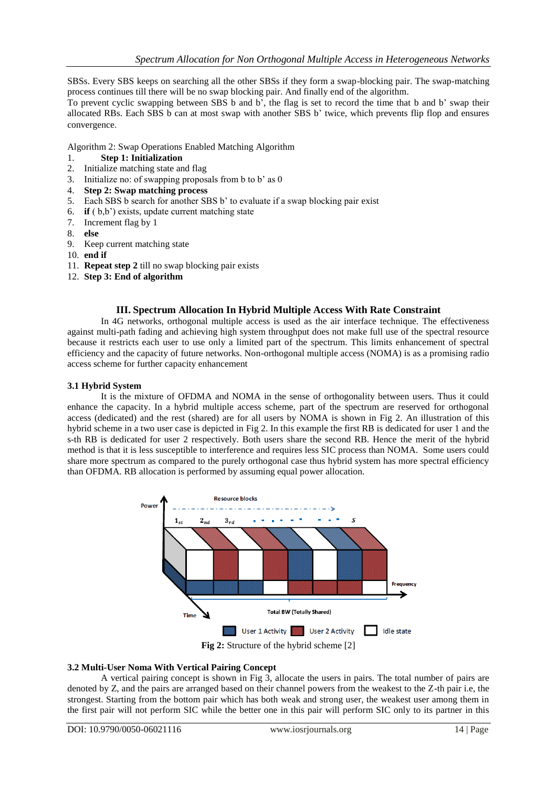SBSs. Every SBS keeps on searching all the other SBSs if they form a swap-blocking pair. The swap-matching process continues till there will be no swap blocking pair. And finally end of the algorithm.

To prevent cyclic swapping between SBS b and b', the flag is set to record the time that b and b' swap their allocated RBs. Each SBS b can at most swap with another SBS b' twice, which prevents flip flop and ensures convergence.

Algorithm 2: Swap Operations Enabled Matching Algorithm

- 1. **Step 1: Initialization**
- 2. Initialize matching state and flag
- 3. Initialize no: of swapping proposals from b to b' as 0
- 4. **Step 2: Swap matching process**
- 5. Each SBS b search for another SBS b' to evaluate if a swap blocking pair exist
- 6. **if** ( b,b') exists, update current matching state
- 7. Increment flag by 1
- 8. **else**
- 9. Keep current matching state
- 10. **end if**
- 11. **Repeat step 2** till no swap blocking pair exists
- 12. **Step 3: End of algorithm**

### **III. Spectrum Allocation In Hybrid Multiple Access With Rate Constraint**

In 4G networks, orthogonal multiple access is used as the air interface technique. The effectiveness against multi-path fading and achieving high system throughput does not make full use of the spectral resource because it restricts each user to use only a limited part of the spectrum. This limits enhancement of spectral efficiency and the capacity of future networks. Non-orthogonal multiple access (NOMA) is as a promising radio access scheme for further capacity enhancement

#### **3.1 Hybrid System**

It is the mixture of OFDMA and NOMA in the sense of orthogonality between users. Thus it could enhance the capacity. In a hybrid multiple access scheme, part of the spectrum are reserved for orthogonal access (dedicated) and the rest (shared) are for all users by NOMA is shown in Fig 2. An illustration of this hybrid scheme in a two user case is depicted in Fig 2. In this example the first RB is dedicated for user 1 and the s-th RB is dedicated for user 2 respectively. Both users share the second RB. Hence the merit of the hybrid method is that it is less susceptible to interference and requires less SIC process than NOMA. Some users could share more spectrum as compared to the purely orthogonal case thus hybrid system has more spectral efficiency than OFDMA. RB allocation is performed by assuming equal power allocation.



#### **3.2 Multi-User Noma With Vertical Pairing Concept**

A vertical pairing concept is shown in Fig 3, allocate the users in pairs. The total number of pairs are denoted by Z, and the pairs are arranged based on their channel powers from the weakest to the Z-th pair i.e, the strongest. Starting from the bottom pair which has both weak and strong user, the weakest user among them in the first pair will not perform SIC while the better one in this pair will perform SIC only to its partner in this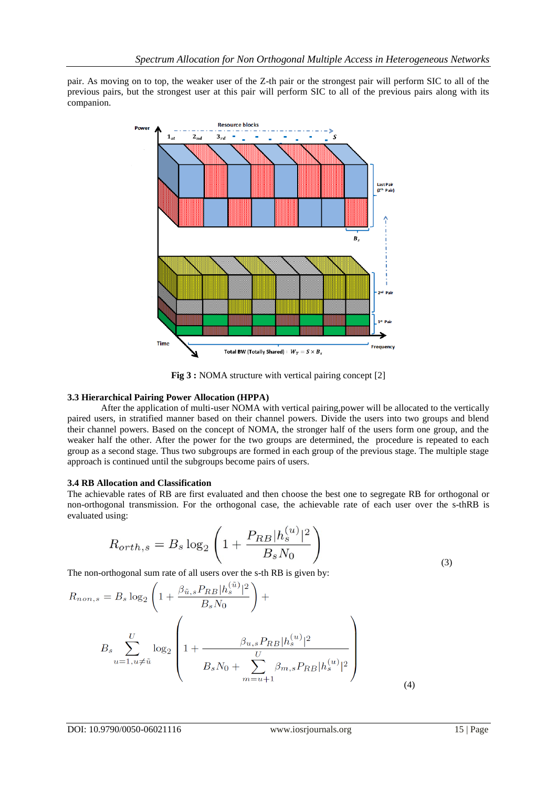pair. As moving on to top, the weaker user of the Z-th pair or the strongest pair will perform SIC to all of the previous pairs, but the strongest user at this pair will perform SIC to all of the previous pairs along with its companion.



**Fig 3 :** NOMA structure with vertical pairing concept [2]

#### **3.3 Hierarchical Pairing Power Allocation (HPPA)**

After the application of multi-user NOMA with vertical pairing,power will be allocated to the vertically paired users, in stratified manner based on their channel powers. Divide the users into two groups and blend their channel powers. Based on the concept of NOMA, the stronger half of the users form one group, and the weaker half the other. After the power for the two groups are determined, the procedure is repeated to each group as a second stage. Thus two subgroups are formed in each group of the previous stage. The multiple stage approach is continued until the subgroups become pairs of users.

# **3.4 RB Allocation and Classification**

The achievable rates of RB are first evaluated and then choose the best one to segregate RB for orthogonal or non-orthogonal transmission. For the orthogonal case, the achievable rate of each user over the s-thRB is evaluated using:

$$
R_{orth,s} = B_s \log_2 \left( 1 + \frac{P_{RB} |h_s^{(u)}|^2}{B_s N_0} \right)
$$
\n(3)

The non-orthogonal sum rate of all users over the s-th RB is given by:

$$
R_{non,s} = B_s \log_2 \left( 1 + \frac{\beta_{\tilde{u},s} P_{RB} |h_s^{(\tilde{u})}|^2}{B_s N_0} \right) +
$$
  

$$
B_s \sum_{u=1, u \neq \tilde{u}}^{U} \log_2 \left( 1 + \frac{\beta_{u,s} P_{RB} |h_s^{(u)}|^2}{B_s N_0 + \sum_{m=u+1}^{U} \beta_{m,s} P_{RB} |h_s^{(u)}|^2} \right)
$$
(4)